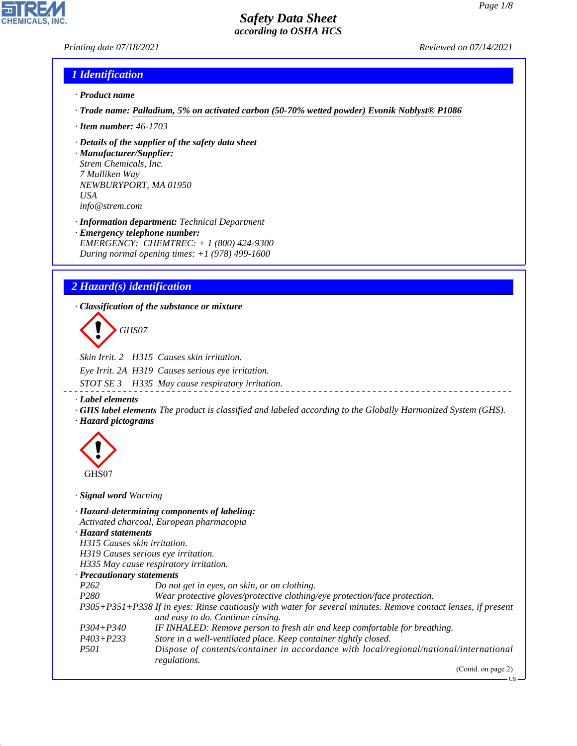*Printing date 07/18/2021 Reviewed on 07/14/2021*

# *1 Identification*

- *· Product name*
- *· Trade name: Palladium, 5% on activated carbon (50-70% wetted powder) Evonik Noblyst® P1086*
- *· Item number: 46-1703*
- *· Details of the supplier of the safety data sheet*

*· Manufacturer/Supplier: Strem Chemicals, Inc. 7 Mulliken Way NEWBURYPORT, MA 01950 USA info@strem.com*

*· Information department: Technical Department · Emergency telephone number: EMERGENCY: CHEMTREC: + 1 (800) 424-9300 During normal opening times: +1 (978) 499-1600*

# *2 Hazard(s) identification*

*· Classification of the substance or mixture*

d~*GHS07*

*Skin Irrit. 2 H315 Causes skin irritation. Eye Irrit. 2A H319 Causes serious eye irritation. STOT SE 3 H335 May cause respiratory irritation.*

*· Label elements*

*· GHS label elements The product is classified and labeled according to the Globally Harmonized System (GHS). · Hazard pictograms*



44.1.1

*· Signal word Warning*

|                                  | · Hazard-determining components of labeling:<br>Activated charcoal, European pharmacopia                                                           |
|----------------------------------|----------------------------------------------------------------------------------------------------------------------------------------------------|
| · Hazard statements              |                                                                                                                                                    |
| H315 Causes skin irritation.     |                                                                                                                                                    |
|                                  | H319 Causes serious eye irritation.                                                                                                                |
|                                  | H335 May cause respiratory irritation.                                                                                                             |
| $\cdot$ Precautionary statements |                                                                                                                                                    |
| P <sub>262</sub>                 | Do not get in eyes, on skin, or on clothing.                                                                                                       |
| P <sub>280</sub>                 | Wear protective gloves/protective clothing/eye protection/face protection.                                                                         |
|                                  | P305+P351+P338 If in eyes: Rinse cautiously with water for several minutes. Remove contact lenses, if present<br>and easy to do. Continue rinsing. |
| $P304 + P340$                    | IF INHALED: Remove person to fresh air and keep comfortable for breathing.                                                                         |
| $P403 + P233$                    | Store in a well-ventilated place. Keep container tightly closed.                                                                                   |
| <i>P501</i>                      | Dispose of contents/container in accordance with local/regional/national/international<br>regulations.                                             |
|                                  | (Contd. on page 2)                                                                                                                                 |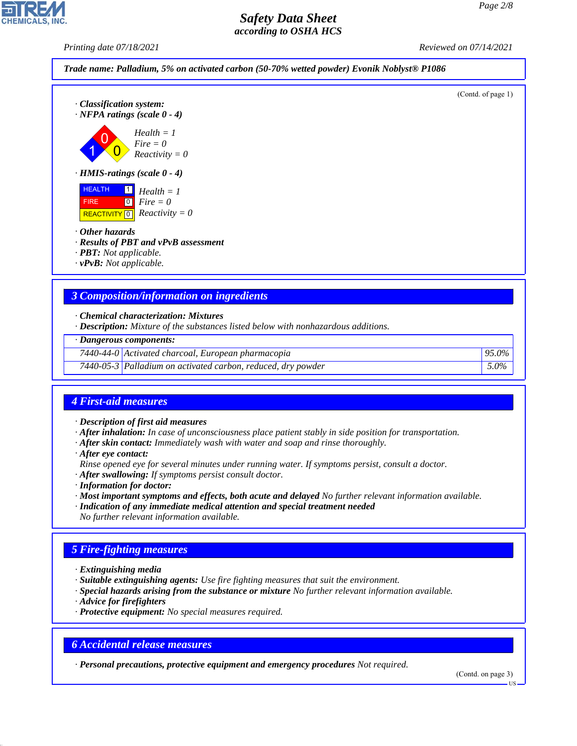*Printing date 07/18/2021 Reviewed on 07/14/2021*



- 
- *· PBT: Not applicable.*
- *· vPvB: Not applicable.*

#### *3 Composition/information on ingredients*

- *· Chemical characterization: Mixtures*
- *· Description: Mixture of the substances listed below with nonhazardous additions.*

|  | · Dangerous components: |
|--|-------------------------|
|--|-------------------------|

- *7440-44-0 Activated charcoal, European pharmacopia 95.0%*
- *7440-05-3 Palladium on activated carbon, reduced, dry powder 5.0%*

# *4 First-aid measures*

- *· Description of first aid measures*
- *· After inhalation: In case of unconsciousness place patient stably in side position for transportation.*
- *· After skin contact: Immediately wash with water and soap and rinse thoroughly.*
- *· After eye contact:*
- *Rinse opened eye for several minutes under running water. If symptoms persist, consult a doctor.*
- *· After swallowing: If symptoms persist consult doctor.*
- *· Information for doctor:*
- *· Most important symptoms and effects, both acute and delayed No further relevant information available.*
- *· Indication of any immediate medical attention and special treatment needed*
- *No further relevant information available.*

# *5 Fire-fighting measures*

- *· Extinguishing media*
- *· Suitable extinguishing agents: Use fire fighting measures that suit the environment.*
- *· Special hazards arising from the substance or mixture No further relevant information available.*
- *· Advice for firefighters*

44.1.1

*· Protective equipment: No special measures required.*

#### *6 Accidental release measures*

*· Personal precautions, protective equipment and emergency procedures Not required.*

(Contd. on page 3)

US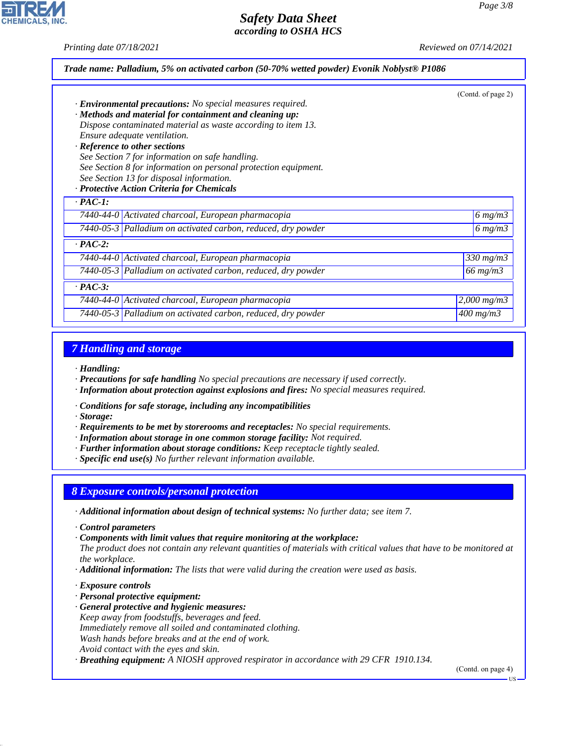*Printing date 07/18/2021 Reviewed on 07/14/2021*

|                |                                                                   | (Contd. of page 2) |
|----------------|-------------------------------------------------------------------|--------------------|
|                | · <b>Environmental precautions:</b> No special measures required. |                    |
|                | · Methods and material for containment and cleaning up:           |                    |
|                | Dispose contaminated material as waste according to item 13.      |                    |
|                | Ensure adequate ventilation.                                      |                    |
|                | · Reference to other sections                                     |                    |
|                | See Section 7 for information on safe handling.                   |                    |
|                | See Section 8 for information on personal protection equipment.   |                    |
|                | See Section 13 for disposal information.                          |                    |
|                | · Protective Action Criteria for Chemicals                        |                    |
| $\cdot$ PAC-1: |                                                                   |                    |
|                | 7440-44-0 Activated charcoal, European pharmacopia                | 6 $mg/m3$          |
|                | 7440-05-3 Palladium on activated carbon, reduced, dry powder      | 6 $mg/m3$          |
| $\cdot$ PAC-2: |                                                                   |                    |
|                | 7440-44-0 Activated charcoal, European pharmacopia                | $330$ mg/m $3$     |
|                | 7440-05-3 Palladium on activated carbon, reduced, dry powder      | $66$ mg/m $3$      |
| $\cdot$ PAC-3: |                                                                   |                    |
|                | 7440-44-0 Activated charcoal, European pharmacopia                | $2,000 \; mg/m3$   |
|                | 7440-05-3 Palladium on activated carbon, reduced, dry powder      | $400$ mg/m $3$     |
|                |                                                                   |                    |

#### *7 Handling and storage*

*· Handling:*

- *· Precautions for safe handling No special precautions are necessary if used correctly.*
- *· Information about protection against explosions and fires: No special measures required.*
- *· Conditions for safe storage, including any incompatibilities*

*· Storage:*

- *· Requirements to be met by storerooms and receptacles: No special requirements.*
- *· Information about storage in one common storage facility: Not required.*
- *· Further information about storage conditions: Keep receptacle tightly sealed.*
- *· Specific end use(s) No further relevant information available.*

#### *8 Exposure controls/personal protection*

- *· Additional information about design of technical systems: No further data; see item 7.*
- *· Control parameters*
- *· Components with limit values that require monitoring at the workplace:*
- *The product does not contain any relevant quantities of materials with critical values that have to be monitored at the workplace.*
- *· Additional information: The lists that were valid during the creation were used as basis.*
- *· Exposure controls*

44.1.1

- *· Personal protective equipment:*
- *· General protective and hygienic measures: Keep away from foodstuffs, beverages and feed. Immediately remove all soiled and contaminated clothing. Wash hands before breaks and at the end of work. Avoid contact with the eyes and skin.*
- *· Breathing equipment: A NIOSH approved respirator in accordance with 29 CFR 1910.134.*

(Contd. on page 4)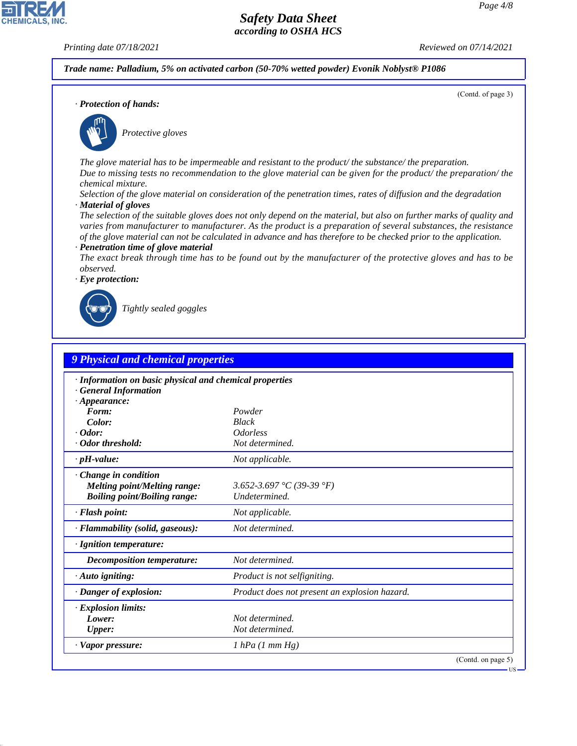(Contd. of page 3)

# *Safety Data Sheet according to OSHA HCS*

**CHEMICALS, INC** 

*Printing date 07/18/2021 Reviewed on 07/14/2021*

*Trade name: Palladium, 5% on activated carbon (50-70% wetted powder) Evonik Noblyst® P1086*

*· Protection of hands:*



\_S*Protective gloves*

*The glove material has to be impermeable and resistant to the product/ the substance/ the preparation. Due to missing tests no recommendation to the glove material can be given for the product/ the preparation/ the chemical mixture.*

*Selection of the glove material on consideration of the penetration times, rates of diffusion and the degradation · Material of gloves*

*The selection of the suitable gloves does not only depend on the material, but also on further marks of quality and varies from manufacturer to manufacturer. As the product is a preparation of several substances, the resistance of the glove material can not be calculated in advance and has therefore to be checked prior to the application. · Penetration time of glove material*

*The exact break through time has to be found out by the manufacturer of the protective gloves and has to be observed.*

*· Eye protection:*



44.1.1

\_R*Tightly sealed goggles*

| <b>9 Physical and chemical properties</b>                                                                    |                                               |
|--------------------------------------------------------------------------------------------------------------|-----------------------------------------------|
| · Information on basic physical and chemical properties<br><b>General Information</b><br>$\cdot$ Appearance: |                                               |
| Form:                                                                                                        | Powder                                        |
| Color:                                                                                                       | <b>Black</b>                                  |
| $\cdot$ Odor:                                                                                                | <i><u><b>Odorless</b></u></i>                 |
| · Odor threshold:                                                                                            | Not determined.                               |
| $\cdot$ pH-value:                                                                                            | Not applicable.                               |
| Change in condition<br><b>Melting point/Melting range:</b><br><b>Boiling point/Boiling range:</b>            | 3.652-3.697 °C (39-39 °F)<br>Undetermined.    |
| · Flash point:                                                                                               | Not applicable.                               |
| · Flammability (solid, gaseous):                                                                             | Not determined.                               |
| · Ignition temperature:                                                                                      |                                               |
| <b>Decomposition temperature:</b>                                                                            | Not determined.                               |
| $\cdot$ Auto igniting:                                                                                       | Product is not selfigniting.                  |
| · Danger of explosion:                                                                                       | Product does not present an explosion hazard. |
| <b>Explosion limits:</b>                                                                                     |                                               |
| Lower:                                                                                                       | Not determined.                               |
| <b>Upper:</b>                                                                                                | Not determined.                               |
| · Vapor pressure:                                                                                            | 1 hPa (1 mm Hg)                               |
|                                                                                                              | (Contd. on page 5)                            |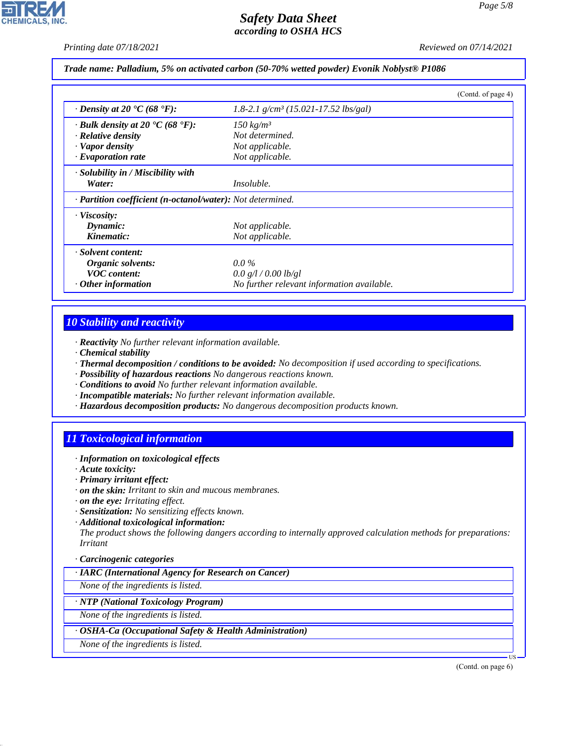# **CHEMICALS, INC**

# *Safety Data Sheet according to OSHA HCS*

*Printing date 07/18/2021 Reviewed on 07/14/2021*

#### *Trade name: Palladium, 5% on activated carbon (50-70% wetted powder) Evonik Noblyst® P1086*

|                                                             |                                            | (Contd. of page 4) |
|-------------------------------------------------------------|--------------------------------------------|--------------------|
| $\cdot$ Density at 20 $\textdegree$ C (68 $\textdegree$ F): | 1.8-2.1 $g/cm^3$ (15.021-17.52 lbs/gal)    |                    |
| $\cdot$ Bulk density at 20 $\cdot$ C (68 $\cdot$ F):        | $150 \ kg/m^3$                             |                    |
| $\cdot$ Relative density                                    | Not determined.                            |                    |
| · Vapor density                                             | Not applicable.                            |                    |
| $\cdot$ Evaporation rate                                    | Not applicable.                            |                    |
| $\cdot$ Solubility in / Miscibility with<br>Water:          | <i>Insoluble.</i>                          |                    |
| · Partition coefficient (n-octanol/water): Not determined.  |                                            |                    |
| · Viscosity:                                                |                                            |                    |
| Dynamic:                                                    | Not applicable.                            |                    |
| Kinematic:                                                  | Not applicable.                            |                    |
| · Solvent content:                                          |                                            |                    |
| Organic solvents:                                           | $0.0\%$                                    |                    |
| <b>VOC</b> content:                                         | 0.0 g/l / 0.00 lb/gl                       |                    |
| $\cdot$ Other information                                   | No further relevant information available. |                    |

# *10 Stability and reactivity*

- *· Reactivity No further relevant information available.*
- *· Chemical stability*
- *· Thermal decomposition / conditions to be avoided: No decomposition if used according to specifications.*
- *· Possibility of hazardous reactions No dangerous reactions known.*
- *· Conditions to avoid No further relevant information available.*
- *· Incompatible materials: No further relevant information available.*
- *· Hazardous decomposition products: No dangerous decomposition products known.*

# *11 Toxicological information*

- *· Information on toxicological effects*
- *· Acute toxicity:*

44.1.1

- *· Primary irritant effect:*
- *· on the skin: Irritant to skin and mucous membranes.*
- *· on the eye: Irritating effect.*
- *· Sensitization: No sensitizing effects known.*
- *· Additional toxicological information:*

*The product shows the following dangers according to internally approved calculation methods for preparations: Irritant*

#### *· Carcinogenic categories*

*· IARC (International Agency for Research on Cancer)*

*None of the ingredients is listed.*

#### *· NTP (National Toxicology Program)*

*None of the ingredients is listed.*

#### *· OSHA-Ca (Occupational Safety & Health Administration)*

*None of the ingredients is listed.*

(Contd. on page 6)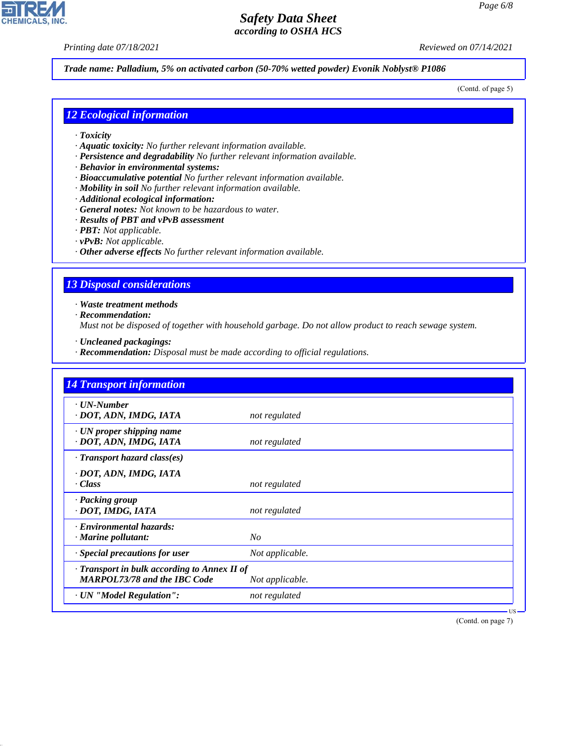*Printing date 07/18/2021 Reviewed on 07/14/2021*

**CHEMICALS, INC** 

*Trade name: Palladium, 5% on activated carbon (50-70% wetted powder) Evonik Noblyst® P1086*

(Contd. of page 5)

# *12 Ecological information*

- *· Toxicity*
- *· Aquatic toxicity: No further relevant information available.*
- *· Persistence and degradability No further relevant information available.*
- *· Behavior in environmental systems:*
- *· Bioaccumulative potential No further relevant information available.*
- *· Mobility in soil No further relevant information available.*
- *· Additional ecological information:*
- *· General notes: Not known to be hazardous to water.*
- *· Results of PBT and vPvB assessment*
- *· PBT: Not applicable.*
- *· vPvB: Not applicable.*
- *· Other adverse effects No further relevant information available.*

# *13 Disposal considerations*

*· Waste treatment methods*

*· Recommendation:*

44.1.1

*Must not be disposed of together with household garbage. Do not allow product to reach sewage system.*

- *· Uncleaned packagings:*
- *· Recommendation: Disposal must be made according to official regulations.*

| $\cdot$ UN-Number<br>· DOT, ADN, IMDG, IATA               | not regulated   |  |
|-----------------------------------------------------------|-----------------|--|
|                                                           |                 |  |
| $\cdot$ UN proper shipping name<br>· DOT, ADN, IMDG, IATA | not regulated   |  |
| $\cdot$ Transport hazard class(es)                        |                 |  |
| · DOT, ADN, IMDG, IATA<br>· Class                         | not regulated   |  |
| · Packing group<br>· DOT, IMDG, IATA                      | not regulated   |  |
| · Environmental hazards:<br>$\cdot$ Marine pollutant:     | N <sub>O</sub>  |  |
| Special precautions for user                              | Not applicable. |  |
| · Transport in bulk according to Annex II of              |                 |  |
| <b>MARPOL73/78 and the IBC Code</b>                       | Not applicable. |  |
| · UN "Model Regulation":                                  | not regulated   |  |

(Contd. on page 7)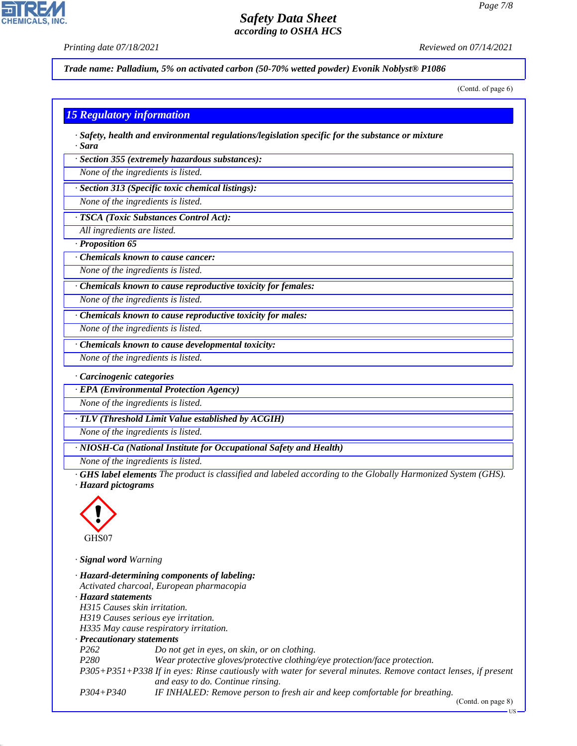*Printing date 07/18/2021 Reviewed on 07/14/2021*

**CHEMICALS, INC** 

*Trade name: Palladium, 5% on activated carbon (50-70% wetted powder) Evonik Noblyst® P1086*

(Contd. of page 6)

#### *15 Regulatory information*

*· Safety, health and environmental regulations/legislation specific for the substance or mixture · Sara*

*· Section 355 (extremely hazardous substances):*

*None of the ingredients is listed.*

*· Section 313 (Specific toxic chemical listings):*

*None of the ingredients is listed.*

*· TSCA (Toxic Substances Control Act):*

*All ingredients are listed.*

*· Proposition 65*

*· Chemicals known to cause cancer:*

*None of the ingredients is listed.*

*· Chemicals known to cause reproductive toxicity for females:*

*None of the ingredients is listed.*

*· Chemicals known to cause reproductive toxicity for males:*

*None of the ingredients is listed.*

*· Chemicals known to cause developmental toxicity:*

*None of the ingredients is listed.*

*· Carcinogenic categories*

*· EPA (Environmental Protection Agency)*

*None of the ingredients is listed.*

*· TLV (Threshold Limit Value established by ACGIH)*

*None of the ingredients is listed.*

*· NIOSH-Ca (National Institute for Occupational Safety and Health)*

*None of the ingredients is listed.*

*· GHS label elements The product is classified and labeled according to the Globally Harmonized System (GHS). · Hazard pictograms*



44.1.1

*· Signal word Warning*

| · Hazard-determining components of labeling:                                                                  |
|---------------------------------------------------------------------------------------------------------------|
| Activated charcoal, European pharmacopia                                                                      |
| · Hazard statements                                                                                           |
| H315 Causes skin irritation.                                                                                  |
| H319 Causes serious eye irritation.                                                                           |
| H335 May cause respiratory irritation.                                                                        |
| $\cdot$ Precautionary statements                                                                              |
| Do not get in eyes, on skin, or on clothing.                                                                  |
| Wear protective gloves/protective clothing/eye protection/face protection.                                    |
| P305+P351+P338 If in eyes: Rinse cautiously with water for several minutes. Remove contact lenses, if present |
| and easy to do. Continue rinsing.                                                                             |
| IF INHALED: Remove person to fresh air and keep comfortable for breathing.                                    |
|                                                                                                               |

(Contd. on page 8)

US